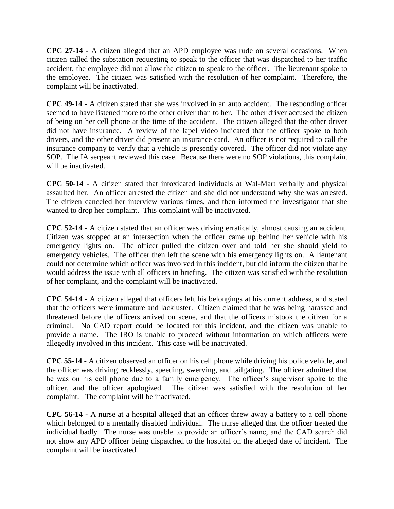**CPC 27-14 -** A citizen alleged that an APD employee was rude on several occasions. When citizen called the substation requesting to speak to the officer that was dispatched to her traffic accident, the employee did not allow the citizen to speak to the officer. The lieutenant spoke to the employee. The citizen was satisfied with the resolution of her complaint. Therefore, the complaint will be inactivated.

**CPC 49-14** - A citizen stated that she was involved in an auto accident. The responding officer seemed to have listened more to the other driver than to her. The other driver accused the citizen of being on her cell phone at the time of the accident. The citizen alleged that the other driver did not have insurance. A review of the lapel video indicated that the officer spoke to both drivers, and the other driver did present an insurance card. An officer is not required to call the insurance company to verify that a vehicle is presently covered. The officer did not violate any SOP. The IA sergeant reviewed this case. Because there were no SOP violations, this complaint will be inactivated.

**CPC 50-14 -** A citizen stated that intoxicated individuals at Wal-Mart verbally and physical assaulted her. An officer arrested the citizen and she did not understand why she was arrested. The citizen canceled her interview various times, and then informed the investigator that she wanted to drop her complaint. This complaint will be inactivated.

**CPC 52-14 -** A citizen stated that an officer was driving erratically, almost causing an accident. Citizen was stopped at an intersection when the officer came up behind her vehicle with his emergency lights on. The officer pulled the citizen over and told her she should yield to emergency vehicles. The officer then left the scene with his emergency lights on. A lieutenant could not determine which officer was involved in this incident, but did inform the citizen that he would address the issue with all officers in briefing. The citizen was satisfied with the resolution of her complaint, and the complaint will be inactivated.

**CPC 54-14 -** A citizen alleged that officers left his belongings at his current address, and stated that the officers were immature and lackluster. Citizen claimed that he was being harassed and threatened before the officers arrived on scene, and that the officers mistook the citizen for a criminal. No CAD report could be located for this incident, and the citizen was unable to provide a name. The IRO is unable to proceed without information on which officers were allegedly involved in this incident. This case will be inactivated.

**CPC 55-14 -** A citizen observed an officer on his cell phone while driving his police vehicle, and the officer was driving recklessly, speeding, swerving, and tailgating. The officer admitted that he was on his cell phone due to a family emergency. The officer's supervisor spoke to the officer, and the officer apologized. The citizen was satisfied with the resolution of her complaint. The complaint will be inactivated.

**CPC 56-14 -** A nurse at a hospital alleged that an officer threw away a battery to a cell phone which belonged to a mentally disabled individual. The nurse alleged that the officer treated the individual badly. The nurse was unable to provide an officer's name, and the CAD search did not show any APD officer being dispatched to the hospital on the alleged date of incident. The complaint will be inactivated.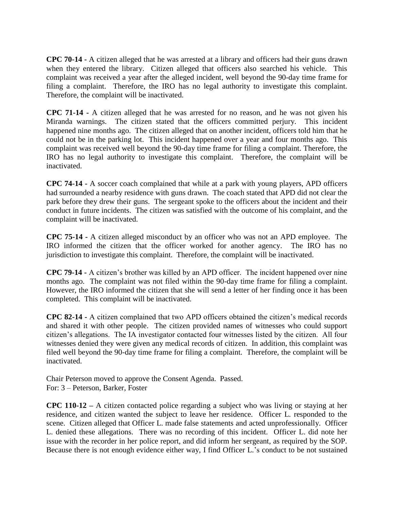**CPC 70-14 -** A citizen alleged that he was arrested at a library and officers had their guns drawn when they entered the library. Citizen alleged that officers also searched his vehicle. This complaint was received a year after the alleged incident, well beyond the 90-day time frame for filing a complaint. Therefore, the IRO has no legal authority to investigate this complaint. Therefore, the complaint will be inactivated.

**CPC 71-14 -** A citizen alleged that he was arrested for no reason, and he was not given his Miranda warnings. The citizen stated that the officers committed perjury. This incident happened nine months ago. The citizen alleged that on another incident, officers told him that he could not be in the parking lot. This incident happened over a year and four months ago. This complaint was received well beyond the 90-day time frame for filing a complaint. Therefore, the IRO has no legal authority to investigate this complaint. Therefore, the complaint will be inactivated.

**CPC 74-14 -** A soccer coach complained that while at a park with young players, APD officers had surrounded a nearby residence with guns drawn. The coach stated that APD did not clear the park before they drew their guns. The sergeant spoke to the officers about the incident and their conduct in future incidents. The citizen was satisfied with the outcome of his complaint, and the complaint will be inactivated.

**CPC 75-14 -** A citizen alleged misconduct by an officer who was not an APD employee. The IRO informed the citizen that the officer worked for another agency. The IRO has no jurisdiction to investigate this complaint. Therefore, the complaint will be inactivated.

**CPC 79-14 -** A citizen's brother was killed by an APD officer. The incident happened over nine months ago. The complaint was not filed within the 90-day time frame for filing a complaint. However, the IRO informed the citizen that she will send a letter of her finding once it has been completed. This complaint will be inactivated.

**CPC 82-14 -** A citizen complained that two APD officers obtained the citizen's medical records and shared it with other people. The citizen provided names of witnesses who could support citizen's allegations. The IA investigator contacted four witnesses listed by the citizen. All four witnesses denied they were given any medical records of citizen. In addition, this complaint was filed well beyond the 90-day time frame for filing a complaint. Therefore, the complaint will be inactivated.

Chair Peterson moved to approve the Consent Agenda. Passed. For: 3 – Peterson, Barker, Foster

**CPC 110-12 –** A citizen contacted police regarding a subject who was living or staying at her residence, and citizen wanted the subject to leave her residence. Officer L. responded to the scene. Citizen alleged that Officer L. made false statements and acted unprofessionally. Officer L. denied these allegations. There was no recording of this incident. Officer L. did note her issue with the recorder in her police report, and did inform her sergeant, as required by the SOP. Because there is not enough evidence either way, I find Officer L.'s conduct to be not sustained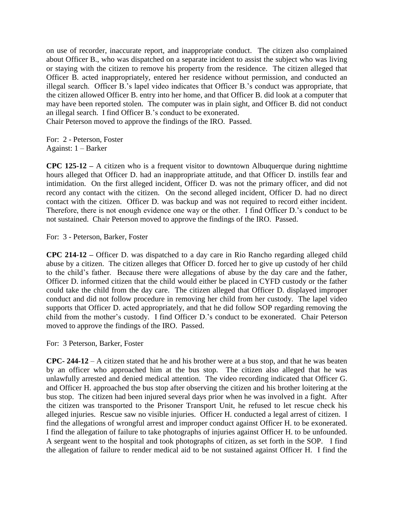on use of recorder, inaccurate report, and inappropriate conduct. The citizen also complained about Officer B., who was dispatched on a separate incident to assist the subject who was living or staying with the citizen to remove his property from the residence. The citizen alleged that Officer B. acted inappropriately, entered her residence without permission, and conducted an illegal search. Officer B.'s lapel video indicates that Officer B.'s conduct was appropriate, that the citizen allowed Officer B. entry into her home, and that Officer B. did look at a computer that may have been reported stolen. The computer was in plain sight, and Officer B. did not conduct an illegal search. I find Officer B.'s conduct to be exonerated.

Chair Peterson moved to approve the findings of the IRO. Passed.

For: 2 - Peterson, Foster Against: 1 – Barker

**CPC 125-12 –** A citizen who is a frequent visitor to downtown Albuquerque during nighttime hours alleged that Officer D. had an inappropriate attitude, and that Officer D. instills fear and intimidation. On the first alleged incident, Officer D. was not the primary officer, and did not record any contact with the citizen. On the second alleged incident, Officer D. had no direct contact with the citizen. Officer D. was backup and was not required to record either incident. Therefore, there is not enough evidence one way or the other. I find Officer D.'s conduct to be not sustained. Chair Peterson moved to approve the findings of the IRO. Passed.

For: 3 - Peterson, Barker, Foster

**CPC 214-12 –** Officer D. was dispatched to a day care in Rio Rancho regarding alleged child abuse by a citizen. The citizen alleges that Officer D. forced her to give up custody of her child to the child's father. Because there were allegations of abuse by the day care and the father, Officer D. informed citizen that the child would either be placed in CYFD custody or the father could take the child from the day care. The citizen alleged that Officer D. displayed improper conduct and did not follow procedure in removing her child from her custody. The lapel video supports that Officer D. acted appropriately, and that he did follow SOP regarding removing the child from the mother's custody. I find Officer D.'s conduct to be exonerated. Chair Peterson moved to approve the findings of the IRO. Passed.

For: 3 Peterson, Barker, Foster

**CPC- 244-12** – A citizen stated that he and his brother were at a bus stop, and that he was beaten by an officer who approached him at the bus stop. The citizen also alleged that he was unlawfully arrested and denied medical attention. The video recording indicated that Officer G. and Officer H. approached the bus stop after observing the citizen and his brother loitering at the bus stop. The citizen had been injured several days prior when he was involved in a fight. After the citizen was transported to the Prisoner Transport Unit, he refused to let rescue check his alleged injuries. Rescue saw no visible injuries. Officer H. conducted a legal arrest of citizen. I find the allegations of wrongful arrest and improper conduct against Officer H. to be exonerated. I find the allegation of failure to take photographs of injuries against Officer H. to be unfounded. A sergeant went to the hospital and took photographs of citizen, as set forth in the SOP. I find the allegation of failure to render medical aid to be not sustained against Officer H. I find the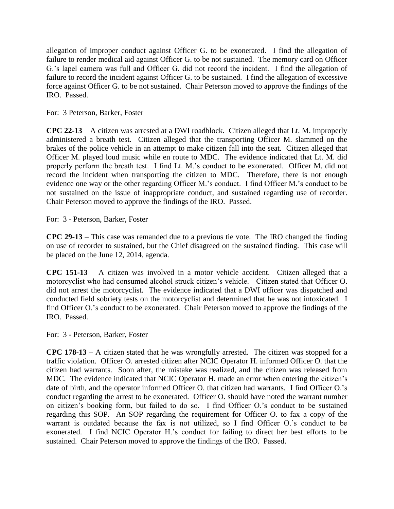allegation of improper conduct against Officer G. to be exonerated. I find the allegation of failure to render medical aid against Officer G. to be not sustained. The memory card on Officer G.'s lapel camera was full and Officer G. did not record the incident. I find the allegation of failure to record the incident against Officer G. to be sustained. I find the allegation of excessive force against Officer G. to be not sustained. Chair Peterson moved to approve the findings of the IRO. Passed.

For: 3 Peterson, Barker, Foster

**CPC 22-13** – A citizen was arrested at a DWI roadblock. Citizen alleged that Lt. M. improperly administered a breath test. Citizen alleged that the transporting Officer M. slammed on the brakes of the police vehicle in an attempt to make citizen fall into the seat. Citizen alleged that Officer M. played loud music while en route to MDC. The evidence indicated that Lt. M. did properly perform the breath test. I find Lt. M.'s conduct to be exonerated. Officer M. did not record the incident when transporting the citizen to MDC. Therefore, there is not enough evidence one way or the other regarding Officer M.'s conduct. I find Officer M.'s conduct to be not sustained on the issue of inappropriate conduct, and sustained regarding use of recorder. Chair Peterson moved to approve the findings of the IRO. Passed.

For: 3 - Peterson, Barker, Foster

**CPC 29-13** – This case was remanded due to a previous tie vote. The IRO changed the finding on use of recorder to sustained, but the Chief disagreed on the sustained finding. This case will be placed on the June 12, 2014, agenda.

**CPC 151-13** – A citizen was involved in a motor vehicle accident. Citizen alleged that a motorcyclist who had consumed alcohol struck citizen's vehicle. Citizen stated that Officer O. did not arrest the motorcyclist. The evidence indicated that a DWI officer was dispatched and conducted field sobriety tests on the motorcyclist and determined that he was not intoxicated. I find Officer O.'s conduct to be exonerated. Chair Peterson moved to approve the findings of the IRO. Passed.

For: 3 - Peterson, Barker, Foster

**CPC 178-13** – A citizen stated that he was wrongfully arrested. The citizen was stopped for a traffic violation. Officer O. arrested citizen after NCIC Operator H. informed Officer O. that the citizen had warrants. Soon after, the mistake was realized, and the citizen was released from MDC. The evidence indicated that NCIC Operator H. made an error when entering the citizen's date of birth, and the operator informed Officer O. that citizen had warrants. I find Officer O.'s conduct regarding the arrest to be exonerated. Officer O. should have noted the warrant number on citizen's booking form, but failed to do so. I find Officer O.'s conduct to be sustained regarding this SOP. An SOP regarding the requirement for Officer O. to fax a copy of the warrant is outdated because the fax is not utilized, so I find Officer O.'s conduct to be exonerated. I find NCIC Operator H.'s conduct for failing to direct her best efforts to be sustained. Chair Peterson moved to approve the findings of the IRO. Passed.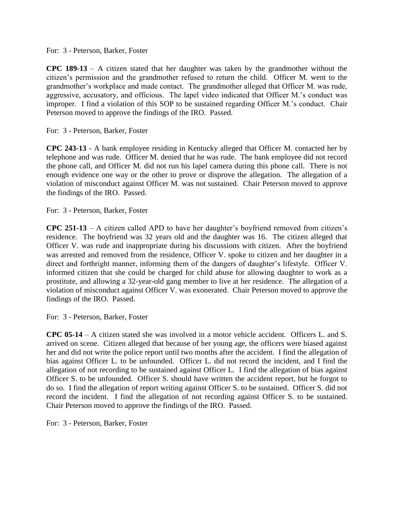## For: 3 - Peterson, Barker, Foster

**CPC 189-13** – A citizen stated that her daughter was taken by the grandmother without the citizen's permission and the grandmother refused to return the child. Officer M. went to the grandmother's workplace and made contact. The grandmother alleged that Officer M. was rude, aggressive, accusatory, and officious. The lapel video indicated that Officer M.'s conduct was improper. I find a violation of this SOP to be sustained regarding Officer M.'s conduct. Chair Peterson moved to approve the findings of the IRO. Passed.

For: 3 - Peterson, Barker, Foster

**CPC 243-13** - A bank employee residing in Kentucky alleged that Officer M. contacted her by telephone and was rude. Officer M. denied that he was rude. The bank employee did not record the phone call, and Officer M. did not run his lapel camera during this phone call. There is not enough evidence one way or the other to prove or disprove the allegation. The allegation of a violation of misconduct against Officer M. was not sustained. Chair Peterson moved to approve the findings of the IRO. Passed.

For: 3 - Peterson, Barker, Foster

**CPC 251-13** – A citizen called APD to have her daughter's boyfriend removed from citizen's residence. The boyfriend was 32 years old and the daughter was 16. The citizen alleged that Officer V. was rude and inappropriate during his discussions with citizen. After the boyfriend was arrested and removed from the residence, Officer V. spoke to citizen and her daughter in a direct and forthright manner, informing them of the dangers of daughter's lifestyle. Officer V. informed citizen that she could be charged for child abuse for allowing daughter to work as a prostitute, and allowing a 32-year-old gang member to live at her residence. The allegation of a violation of misconduct against Officer V. was exonerated. Chair Peterson moved to approve the findings of the IRO. Passed.

For: 3 - Peterson, Barker, Foster

**CPC 05-14** – A citizen stated she was involved in a motor vehicle accident. Officers L. and S. arrived on scene. Citizen alleged that because of her young age, the officers were biased against her and did not write the police report until two months after the accident. I find the allegation of bias against Officer L. to be unfounded. Officer L. did not record the incident, and I find the allegation of not recording to be sustained against Officer L. I find the allegation of bias against Officer S. to be unfounded. Officer S. should have written the accident report, but he forgot to do so. I find the allegation of report writing against Officer S. to be sustained. Officer S. did not record the incident. I find the allegation of not recording against Officer S. to be sustained. Chair Peterson moved to approve the findings of the IRO. Passed.

For: 3 - Peterson, Barker, Foster